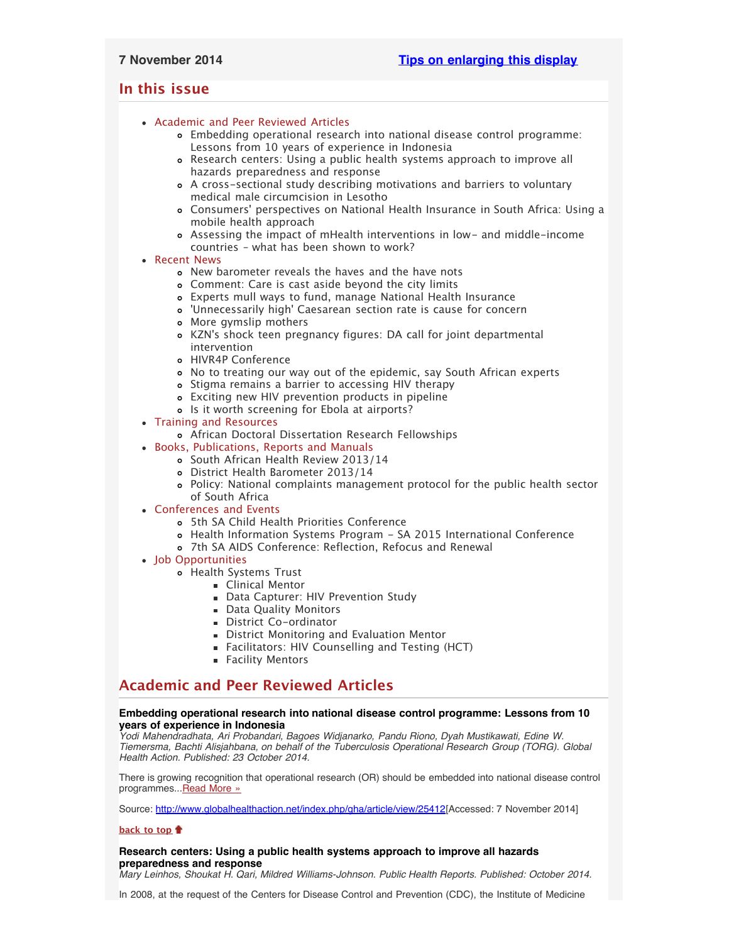# <span id="page-0-4"></span><span id="page-0-3"></span>**In this issue**

- [Academic and Peer Reviewed Articles](#page-0-0)
	- [Embedding operational research into national disease control programme:](#page-0-1) [Lessons from 10 years of experience in Indonesia](#page-0-1)
	- [Research centers: Using a public health systems approach to improve all](#page-0-2) [hazards preparedness and response](#page-0-2)
	- [A cross-sectional study describing motivations and barriers to voluntary](#page-1-0) [medical male circumcision in Lesotho](#page-1-0)
	- Consumers[' perspectives on National Health Insurance in South Africa: Using a](#page-1-1) [mobile health approach](#page-1-1)
	- [Assessing the impact of mHealth interventions in low- and middle-income](#page-1-2) [countries – what has been shown to work?](#page-1-2)
- [Recent News](#page-1-3)
	- [New barometer reveals the haves and the have nots](#page-1-4)
	- [Comment: Care is cast aside beyond the city limits](#page-1-5)
	- [Experts mull ways to fund, manage National Health Insurance](#page-1-6)
	- ['Unnecessarily high' Caesarean section rate is cause for concern](#page-2-0)
	- [More gymslip mothers](#page-2-1)
	- KZN['s shock teen pregnancy figures: DA call for joint departmental](#page-2-2) [intervention](#page-2-2)
	- [HIVR4P Conference](#page-2-3)
	- [No to treating our way out of the epidemic, say South African experts](#page-2-4)
	- o [Stigma remains a barrier to accessing HIV therapy](#page-2-5)
	- [Exciting new HIV prevention products in pipeline](#page-2-6)
	- o [Is it worth screening for Ebola at airports?](#page-3-0)
- [Training and Resources](#page-3-1)
	- [African Doctoral Dissertation Research Fellowships](#page-3-2)
- [Books, Publications, Reports and Manuals](#page-3-3)
	- o [South African Health Review 2013/14](#page-3-4)
	- [District Health Barometer 2013/14](#page-3-5)
	- [Policy: National complaints management protocol for the public health sector](#page-3-6) [of South Africa](#page-3-6)
- [Conferences and Events](#page-3-7)
	- [5th SA Child Health Priorities Conference](#page-3-8)
	- [Health Information Systems Program SA 2015 International Conference](#page-3-9)
	- [7th SA AIDS Conference: Reflection, Refocus and Renewal](#page-4-0)
- [Job Opportunities](#page-4-1)
	- [Health Systems Trust](#page-4-2)
		- **E** [Clinical Mentor](#page-0-3)
		- **[Data Capturer: HIV Prevention Study](#page-0-3)**
		- **[Data Quality Monitors](#page-0-3)**
		- **[District Co-ordinator](#page-0-3)**
		- **[District Monitoring and Evaluation Mentor](#page-0-3)**
		- [Facilitators: HIV Counselling and Testing \(HCT\)](#page-0-3)
		- **[Facility Mentors](#page-0-3)**

# <span id="page-0-0"></span>**Academic and Peer Reviewed Articles**

# <span id="page-0-1"></span>**Embedding operational research into national disease control programme: Lessons from 10 years of experience in Indonesia**

*Yodi Mahendradhata, Ari Probandari, Bagoes Widjanarko, Pandu Riono, Dyah Mustikawati, Edine W. Tiemersma, Bachti Alisjahbana, on behalf of the Tuberculosis Operational Research Group (TORG). Global Health Action. Published: 23 October 2014.*

There is growing recognition that operational research (OR) should be embedded into national disease control programmes..[.Read More »](http://www.globalhealthaction.net/index.php/gha/article/view/25412)

Source: [http://www.globalhealthaction.net/index.php/gha/article/view/25412\[](http://www.globalhealthaction.net/index.php/gha/article/view/25412)Accessed: 7 November 2014]

# **[back to top](#page-0-4)**

# <span id="page-0-2"></span>**Research centers: Using a public health systems approach to improve all hazards preparedness and response**

*Mary Leinhos, Shoukat H. Qari, Mildred Williams-Johnson. Public Health Reports. Published: October 2014.*

In 2008, at the request of the Centers for Disease Control and Prevention (CDC), the Institute of Medicine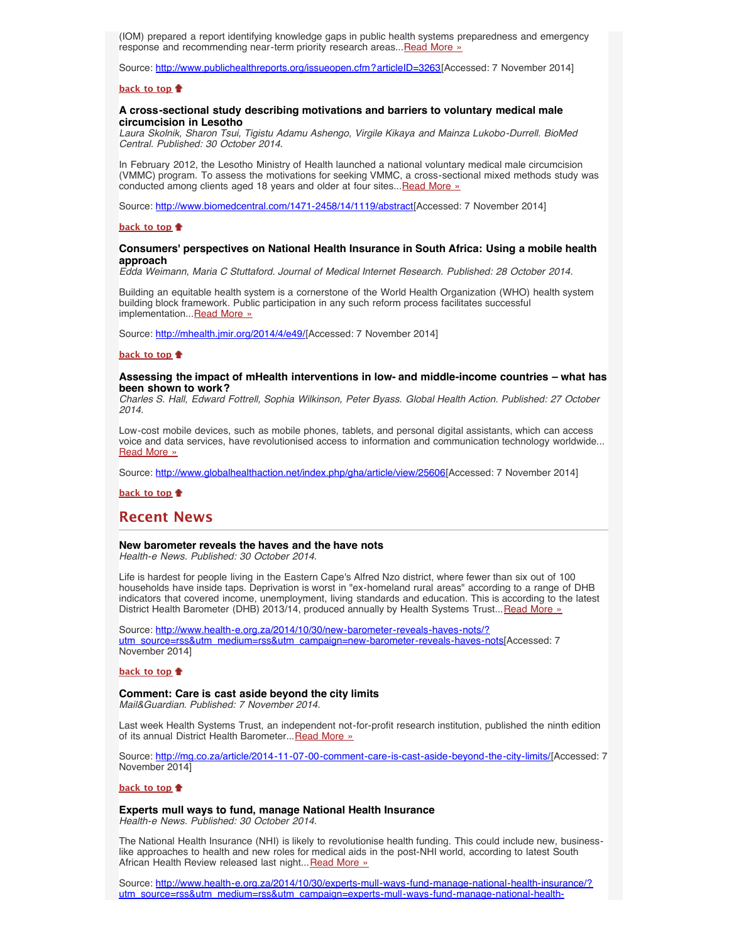(IOM) prepared a report identifying knowledge gaps in public health systems preparedness and emergency response and recommending near-term priority research areas... Read More »

Source: [http://www.publichealthreports.org/issueopen.cfm?articleID=3263\[](http://www.publichealthreports.org/issueopen.cfm?articleID=3263)Accessed: 7 November 2014]

#### **[back to top](#page-0-4)**

## <span id="page-1-0"></span>**A cross-sectional study describing motivations and barriers to voluntary medical male circumcision in Lesotho**

*Laura Skolnik, Sharon Tsui, Tigistu Adamu Ashengo, Virgile Kikaya and Mainza Lukobo-Durrell. BioMed Central. Published: 30 October 2014.*

In February 2012, the Lesotho Ministry of Health launched a national voluntary medical male circumcision (VMMC) program. To assess the motivations for seeking VMMC, a cross-sectional mixed methods study was conducted among clients aged 18 years and older at four sites... [Read More »](http://www.biomedcentral.com/1471-2458/14/1119/abstract)

Source: [http://www.biomedcentral.com/1471-2458/14/1119/abstract\[](http://www.biomedcentral.com/1471-2458/14/1119/abstract)Accessed: 7 November 2014]

### **[back to top](#page-0-4)**

## <span id="page-1-1"></span>**Consumers' perspectives on National Health Insurance in South Africa: Using a mobile health approach**

*Edda Weimann, Maria C Stuttaford. Journal of Medical Internet Research. Published: 28 October 2014.*

Building an equitable health system is a cornerstone of the World Health Organization (WHO) health system building block framework. Public participation in any such reform process facilitates successful implementation... [Read More »](http://mhealth.jmir.org/2014/4/e49/)

Source: [http://mhealth.jmir.org/2014/4/e49/\[](http://mhealth.jmir.org/2014/4/e49/)Accessed: 7 November 2014]

## **[back to top](#page-0-4)**

### <span id="page-1-2"></span>**Assessing the impact of mHealth interventions in low- and middle-income countries – what has been shown to work?**

*Charles S. Hall, Edward Fottrell, Sophia Wilkinson, Peter Byass. Global Health Action. Published: 27 October 2014.*

Low-cost mobile devices, such as mobile phones, tablets, and personal digital assistants, which can access voice and data services, have revolutionised access to information and communication technology worldwide... [Read More »](http://www.globalhealthaction.net/index.php/gha/article/view/25606)

Source: [http://www.globalhealthaction.net/index.php/gha/article/view/25606\[](http://www.globalhealthaction.net/index.php/gha/article/view/25606)Accessed: 7 November 2014]

**[back to top](#page-0-4)**

# <span id="page-1-3"></span>**Recent News**

## <span id="page-1-4"></span>**New barometer reveals the haves and the have nots**

*Health-e News. Published: 30 October 2014.*

Life is hardest for people living in the Eastern Cape's Alfred Nzo district, where fewer than six out of 100 households have inside taps. Deprivation is worst in "ex-homeland rural areas" according to a range of DHB indicators that covered income, unemployment, living standards and education. This is according to the latest District Health Barometer (DHB) 2013/14, produced annually by Health Systems Trust... [Read More »](http://www.hst.org.za/news/new-barometer-reveals-haves-and-have-nots)

Source: [http://www.health-e.org.za/2014/10/30/new-barometer-reveals-haves-nots/?](http://www.health-e.org.za/2014/10/30/new-barometer-reveals-haves-nots/?utm_source=rss&utm_medium=rss&utm_campaign=new-barometer-reveals-haves-nots) [utm\\_source=rss&utm\\_medium=rss&utm\\_campaign=new-barometer-reveals-haves-nots](http://www.health-e.org.za/2014/10/30/new-barometer-reveals-haves-nots/?utm_source=rss&utm_medium=rss&utm_campaign=new-barometer-reveals-haves-nots)[Accessed: 7 November 2014]

## **[back to top](#page-0-4)**

# **Comment: Care is cast aside beyond the city limits**

<span id="page-1-5"></span>*Mail&Guardian. Published: 7 November 2014.*

Last week Health Systems Trust, an independent not-for-profit research institution, published the ninth edition of its annual District Health Barometer... [Read More »](http://mg.co.za/article/2014-11-07-00-comment-care-is-cast-aside-beyond-the-city-limits/)

Source: <http://mg.co.za/article/2014-11-07-00-comment-care-is-cast-aside-beyond-the-city-limits/>[Accessed: 7 November 2014]

### **[back to top](#page-0-4)**

**Experts mull ways to fund, manage National Health Insurance**

<span id="page-1-6"></span>*Health-e News. Published: 30 October 2014.*

The National Health Insurance (NHI) is likely to revolutionise health funding. This could include new, businesslike approaches to health and new roles for medical aids in the post-NHI world, according to latest South African Health Review released last night... [Read More »](http://www.hst.org.za/news/experts-mull-ways-fund-manage-national-health-insurance)

Source: [http://www.health-e.org.za/2014/10/30/experts-mull-ways-fund-manage-national-health-insurance/?](http://www.health-e.org.za/2014/10/30/experts-mull-ways-fund-manage-national-health-insurance/?utm_source=rss&utm_medium=rss&utm_campaign=experts-mull-ways-fund-manage-national-health-insurance) [utm\\_source=rss&utm\\_medium=rss&utm\\_campaign=experts-mull-ways-fund-manage-national-health-](http://www.health-e.org.za/2014/10/30/experts-mull-ways-fund-manage-national-health-insurance/?utm_source=rss&utm_medium=rss&utm_campaign=experts-mull-ways-fund-manage-national-health-insurance)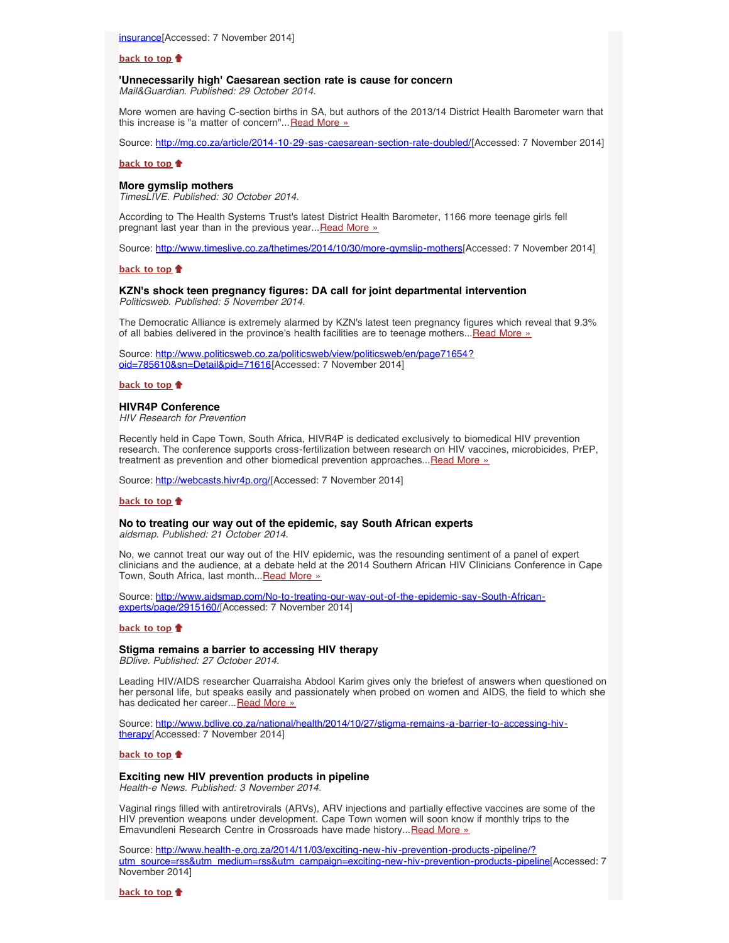#### **[back to top](#page-0-4)**

### <span id="page-2-0"></span>**'Unnecessarily high' Caesarean section rate is cause for concern** *Mail&Guardian. Published: 29 October 2014.*

More women are having C-section births in SA, but authors of the 2013/14 District Health Barometer warn that this increase is "a matter of concern"... [Read More »](http://www.hst.org.za/news/unnecessarily-high-caesarean-section-rate-cause-concern)

Source: [http://mg.co.za/article/2014-10-29-sas-caesarean-section-rate-doubled/\[](http://mg.co.za/article/2014-10-29-sas-caesarean-section-rate-doubled/)Accessed: 7 November 2014]

### **[back to top](#page-0-4)**

#### <span id="page-2-1"></span>**More gymslip mothers**

*TimesLIVE. Published: 30 October 2014.*

According to The Health Systems Trust's latest District Health Barometer, 1166 more teenage girls fell pregnant last year than in the previous year... [Read More »](http://www.hst.org.za/news/more-gymslip-mothers-0)

Source: [http://www.timeslive.co.za/thetimes/2014/10/30/more-gymslip-mothers\[](http://www.timeslive.co.za/thetimes/2014/10/30/more-gymslip-mothers)Accessed: 7 November 2014]

#### **[back to top](#page-0-4)**

#### <span id="page-2-2"></span>**KZN's shock teen pregnancy figures: DA call for joint departmental intervention** *Politicsweb. Published: 5 November 2014.*

The Democratic Alliance is extremely alarmed by KZN's latest teen pregnancy figures which reveal that 9.3% of all babies delivered in the province's health facilities are to teenage mothers...[Read More »](http://www.politicsweb.co.za/politicsweb/view/politicsweb/en/page71654?oid=785610&sn=Detail&pid=71616)

Source: [http://www.politicsweb.co.za/politicsweb/view/politicsweb/en/page71654?](http://www.politicsweb.co.za/politicsweb/view/politicsweb/en/page71654?oid=785610&sn=Detail&pid=71616) [oid=785610&sn=Detail&pid=71616](http://www.politicsweb.co.za/politicsweb/view/politicsweb/en/page71654?oid=785610&sn=Detail&pid=71616)[Accessed: 7 November 2014]

# **[back to top](#page-0-4)**

### <span id="page-2-3"></span>**HIVR4P Conference**

*HIV Research for Prevention*

Recently held in Cape Town, South Africa, HIVR4P is dedicated exclusively to biomedical HIV prevention research. The conference supports cross-fertilization between research on HIV vaccines, microbicides, PrEP, treatment as prevention and other biomedical prevention approaches...[Read More »](http://webcasts.hivr4p.org/)

Source: [http://webcasts.hivr4p.org/\[](http://webcasts.hivr4p.org/)Accessed: 7 November 2014]

#### **[back to top](#page-0-4)**

# <span id="page-2-4"></span>**No to treating our way out of the epidemic, say South African experts**

*aidsmap. Published: 21 October 2014.*

No, we cannot treat our way out of the HIV epidemic, was the resounding sentiment of a panel of expert clinicians and the audience, at a debate held at the 2014 Southern African HIV Clinicians Conference in Cape Town, South Africa, last month... [Read More »](http://www.aidsmap.com/No-to-treating-our-way-out-of-the-epidemic-say-South-African-experts/page/2915160/)

Source: [http://www.aidsmap.com/No-to-treating-our-way-out-of-the-epidemic-say-South-African](http://www.aidsmap.com/No-to-treating-our-way-out-of-the-epidemic-say-South-African-experts/page/2915160/)[experts/page/2915160/\[](http://www.aidsmap.com/No-to-treating-our-way-out-of-the-epidemic-say-South-African-experts/page/2915160/)Accessed: 7 November 2014]

### **[back to top](#page-0-4)**

# <span id="page-2-5"></span>**Stigma remains a barrier to accessing HIV therapy**

*BDlive. Published: 27 October 2014.*

Leading HIV/AIDS researcher Quarraisha Abdool Karim gives only the briefest of answers when questioned on her personal life, but speaks easily and passionately when probed on women and AIDS, the field to which she has dedicated her career... [Read More »](http://www.bdlive.co.za/national/health/2014/10/27/stigma-remains-a-barrier-to-accessing-hiv-therapy)

Source: [http://www.bdlive.co.za/national/health/2014/10/27/stigma-remains-a-barrier-to-accessing-hiv](http://www.bdlive.co.za/national/health/2014/10/27/stigma-remains-a-barrier-to-accessing-hiv-therapy)[therapy\[](http://www.bdlive.co.za/national/health/2014/10/27/stigma-remains-a-barrier-to-accessing-hiv-therapy)Accessed: 7 November 2014]

#### **[back to top](#page-0-4)**

### <span id="page-2-6"></span>**Exciting new HIV prevention products in pipeline**

*Health-e News. Published: 3 November 2014.*

Vaginal rings filled with antiretrovirals (ARVs), ARV injections and partially effective vaccines are some of the HIV prevention weapons under development. Cape Town women will soon know if monthly trips to the Emavundleni Research Centre in Crossroads have made history... [Read More »](http://www.health-e.org.za/2014/11/03/exciting-new-hiv-prevention-products-pipeline/?utm_source=rss&utm_medium=rss&utm_campaign=exciting-new-hiv-prevention-products-pipeline)

Source: [http://www.health-e.org.za/2014/11/03/exciting-new-hiv-prevention-products-pipeline/?](http://www.health-e.org.za/2014/11/03/exciting-new-hiv-prevention-products-pipeline/?utm_source=rss&utm_medium=rss&utm_campaign=exciting-new-hiv-prevention-products-pipeline) [utm\\_source=rss&utm\\_medium=rss&utm\\_campaign=exciting-new-hiv-prevention-products-pipeline](http://www.health-e.org.za/2014/11/03/exciting-new-hiv-prevention-products-pipeline/?utm_source=rss&utm_medium=rss&utm_campaign=exciting-new-hiv-prevention-products-pipeline)[Accessed: 7 November 2014]

**[back to top](#page-0-4)**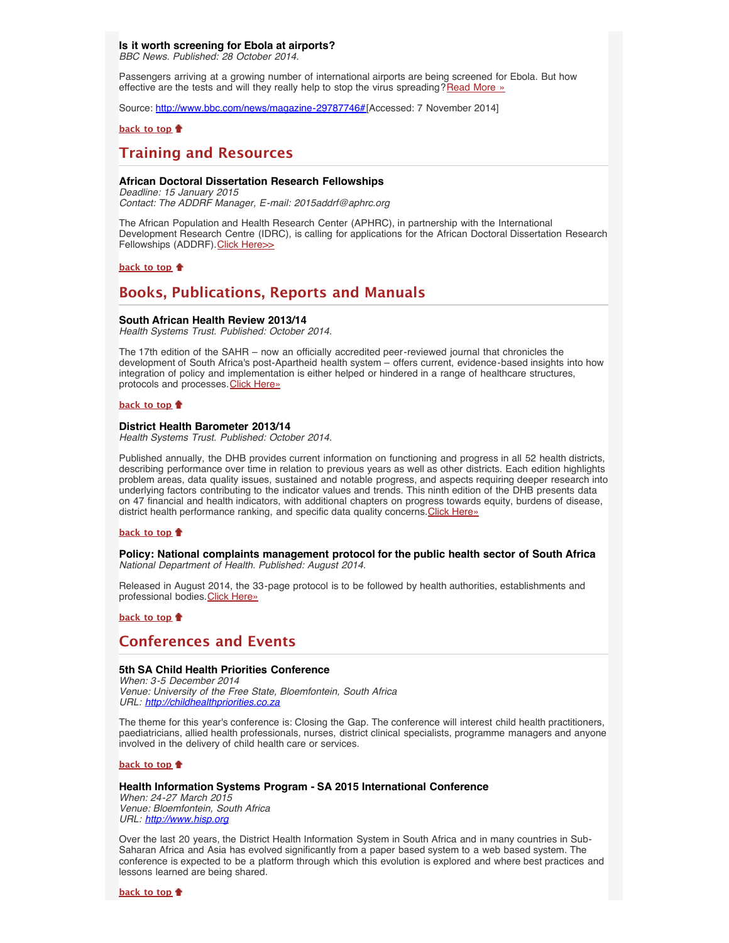# <span id="page-3-0"></span>**Is it worth screening for Ebola at airports?**

*BBC News. Published: 28 October 2014.*

Passengers arriving at a growing number of international airports are being screened for Ebola. But how effective are the tests and will they really help to stop the virus spreading?[Read More »](http://www.bbc.com/news/magazine-29787746#)

Source: [http://www.bbc.com/news/magazine-29787746#\[](http://www.bbc.com/news/magazine-29787746#)Accessed: 7 November 2014]

## **[back to top](#page-0-4)**

# <span id="page-3-1"></span>**Training and Resources**

## <span id="page-3-2"></span>**African Doctoral Dissertation Research Fellowships**

*Deadline: 15 January 2015 Contact: The ADDRF Manager, E-mail: 2015addrf@aphrc.org*

The African Population and Health Research Center (APHRC), in partnership with the International Development Research Centre (IDRC), is calling for applications for the African Doctoral Dissertation Research Fellowships (ADDRF). [Click Here>>](http://aphrc.org/blog/african-doctoral-dissertation-research-fellowships-2015-call/)

**[back to top](#page-0-4)**

# <span id="page-3-3"></span>**Books, Publications, Reports and Manuals**

# <span id="page-3-4"></span>**South African Health Review 2013/14**

*Health Systems Trust. Published: October 2014.*

The 17th edition of the SAHR – now an officially accredited peer-reviewed journal that chronicles the development of South Africa's post-Apartheid health system – offers current, evidence-based insights into how integration of policy and implementation is either helped or hindered in a range of healthcare structures, protocols and processes. [Click Here»](http://www.hst.org.za/publications/south-african-health-review-201314)

## **[back to top](#page-0-4)**

## <span id="page-3-5"></span>**District Health Barometer 2013/14**

*Health Systems Trust. Published: October 2014.*

Published annually, the DHB provides current information on functioning and progress in all 52 health districts, describing performance over time in relation to previous years as well as other districts. Each edition highlights problem areas, data quality issues, sustained and notable progress, and aspects requiring deeper research into underlying factors contributing to the indicator values and trends. This ninth edition of the DHB presents data on 47 financial and health indicators, with additional chapters on progress towards equity, burdens of disease, district health performance ranking, and specific data quality concerns. [Click Here»](http://www.hst.org.za/publications/district-health-barometer-201314)

#### **[back to top](#page-0-4)**

<span id="page-3-6"></span>**Policy: National complaints management protocol for the public health sector of South Africa** *National Department of Health. Published: August 2014.*

Released in August 2014, the 33-page protocol is to be followed by health authorities, establishments and professional bodies. [Click Here»](http://www.health-e.org.za/wp-content/uploads/2014/10/National-Complaints-Management-Protocol-Aug-2014.pdf)

**[back to top](#page-0-4)**

# <span id="page-3-7"></span>**Conferences and Events**

# **5th SA Child Health Priorities Conference**

<span id="page-3-8"></span>*When: 3-5 December 2014 Venue: University of the Free State, Bloemfontein, South Africa URL: [http://childhealthpriorities.co.za](http://childhealthpriorities.co.za/)*

The theme for this year's conference is: Closing the Gap. The conference will interest child health practitioners, paediatricians, allied health professionals, nurses, district clinical specialists, programme managers and anyone involved in the delivery of child health care or services.

**[back to top](#page-0-4)**

# <span id="page-3-9"></span>**Health Information Systems Program - SA 2015 International Conference**

*When: 24-27 March 2015 Venue: Bloemfontein, South Africa URL: [http://www.hisp.org](http://www.hisp.org/)*

Over the last 20 years, the District Health Information System in South Africa and in many countries in Sub-Saharan Africa and Asia has evolved significantly from a paper based system to a web based system. The conference is expected to be a platform through which this evolution is explored and where best practices and lessons learned are being shared.

**[back to top](#page-0-4)**